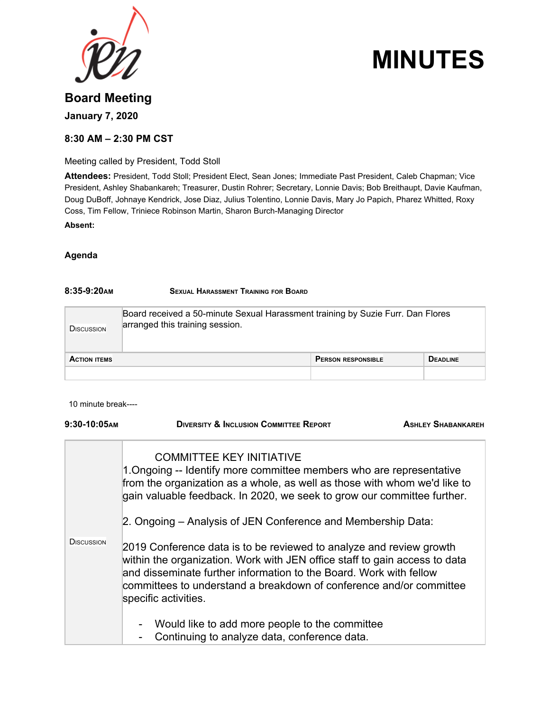

# **MINUTES**

# **Board Meeting January 7, 2020**

# **8:30 AM – 2:30 PM CST**

Meeting called by President, Todd Stoll

**Attendees:** President, Todd Stoll; President Elect, Sean Jones; Immediate Past President, Caleb Chapman; Vice President, Ashley Shabankareh; Treasurer, Dustin Rohrer; Secretary, Lonnie Davis; Bob Breithaupt, Davie Kaufman, Doug DuBoff, Johnaye Kendrick, Jose Diaz, Julius Tolentino, Lonnie Davis, Mary Jo Papich, Pharez Whitted, Roxy Coss, Tim Fellow, Triniece Robinson Martin, Sharon Burch-Managing Director **Absent:**

# **Agenda**

# **8:35-9:20AM SEXUAL HARASSMENT TRAINING FOR BOARD**

| <b>DISCUSSION</b>   | Board received a 50-minute Sexual Harassment training by Suzie Furr. Dan Flores<br>arranged this training session. |                           |                 |
|---------------------|--------------------------------------------------------------------------------------------------------------------|---------------------------|-----------------|
| <b>ACTION ITEMS</b> |                                                                                                                    | <b>PERSON RESPONSIBLE</b> | <b>DEADLINE</b> |
|                     |                                                                                                                    |                           |                 |

10 minute break----

| 9:30-10:05AM                                                                                                                                                                                                                                                                                                                    | <b>DIVERSITY &amp; INCLUSION COMMITTEE REPORT</b>                                                                                                                                                                                                                                                                      | <b>ASHLEY SHABANKAREH</b> |
|---------------------------------------------------------------------------------------------------------------------------------------------------------------------------------------------------------------------------------------------------------------------------------------------------------------------------------|------------------------------------------------------------------------------------------------------------------------------------------------------------------------------------------------------------------------------------------------------------------------------------------------------------------------|---------------------------|
| <b>COMMITTEE KEY INITIATIVE</b><br>1. Ongoing -- Identify more committee members who are representative<br>from the organization as a whole, as well as those with whom we'd like to<br>gain valuable feedback. In 2020, we seek to grow our committee further.<br>2. Ongoing – Analysis of JEN Conference and Membership Data: |                                                                                                                                                                                                                                                                                                                        |                           |
| <b>DISCUSSION</b>                                                                                                                                                                                                                                                                                                               | 2019 Conference data is to be reviewed to analyze and review growth<br>within the organization. Work with JEN office staff to gain access to data<br>and disseminate further information to the Board. Work with fellow<br>committees to understand a breakdown of conference and/or committee<br>specific activities. |                           |
|                                                                                                                                                                                                                                                                                                                                 | Would like to add more people to the committee<br>-<br>Continuing to analyze data, conference data.<br>$\overline{a}$                                                                                                                                                                                                  |                           |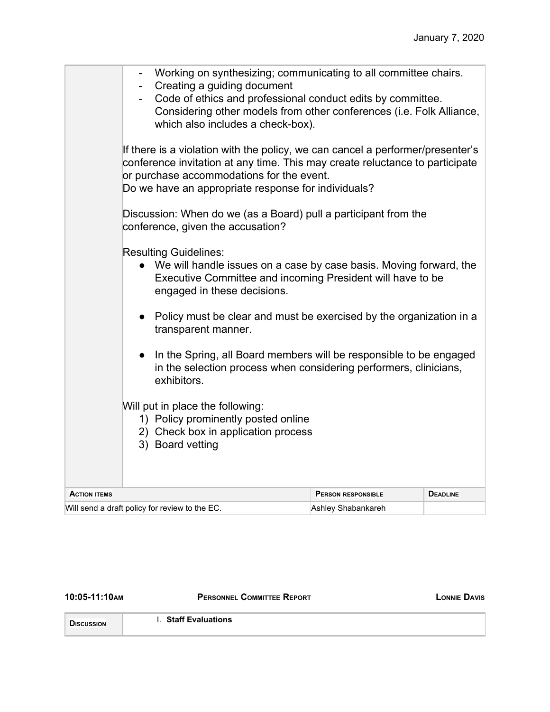|                                                | Working on synthesizing; communicating to all committee chairs.<br>Creating a guiding document<br>Code of ethics and professional conduct edits by committee.<br>Considering other models from other conferences (i.e. Folk Alliance,<br>which also includes a check-box). |                           |                 |
|------------------------------------------------|----------------------------------------------------------------------------------------------------------------------------------------------------------------------------------------------------------------------------------------------------------------------------|---------------------------|-----------------|
|                                                | If there is a violation with the policy, we can cancel a performer/presenter's<br>conference invitation at any time. This may create reluctance to participate<br>or purchase accommodations for the event.<br>Do we have an appropriate response for individuals?         |                           |                 |
|                                                | Discussion: When do we (as a Board) pull a participant from the<br>conference, given the accusation?                                                                                                                                                                       |                           |                 |
|                                                | <b>Resulting Guidelines:</b><br>• We will handle issues on a case by case basis. Moving forward, the<br>Executive Committee and incoming President will have to be<br>engaged in these decisions.                                                                          |                           |                 |
|                                                | • Policy must be clear and must be exercised by the organization in a<br>transparent manner.                                                                                                                                                                               |                           |                 |
|                                                | In the Spring, all Board members will be responsible to be engaged<br>$\bullet$<br>in the selection process when considering performers, clinicians,<br>exhibitors.                                                                                                        |                           |                 |
|                                                | Will put in place the following:<br>1) Policy prominently posted online<br>2) Check box in application process<br>3) Board vetting                                                                                                                                         |                           |                 |
| <b>ACTION ITEMS</b>                            |                                                                                                                                                                                                                                                                            | <b>PERSON RESPONSIBLE</b> | <b>DEADLINE</b> |
| Will send a draft policy for review to the EC. |                                                                                                                                                                                                                                                                            | Ashley Shabankareh        |                 |

**10:05-11:10AM PERSONNEL COMMITTEE REPORT LONNIE DAVIS**

**DISCUSSION**

I. **Staff Evaluations**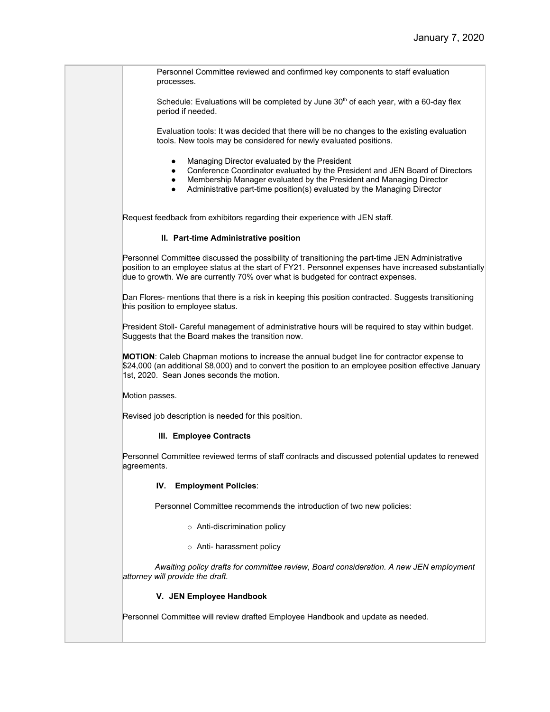Personnel Committee reviewed and confirmed key components to staff evaluation processes.

Schedule: Evaluations will be completed by June  $30<sup>th</sup>$  of each year, with a 60-day flex period if needed.

Evaluation tools: It was decided that there will be no changes to the existing evaluation tools. New tools may be considered for newly evaluated positions.

- Managing Director evaluated by the President
- Conference Coordinator evaluated by the President and JEN Board of Directors
- Membership Manager evaluated by the President and Managing Director
- Administrative part-time position(s) evaluated by the Managing Director

Request feedback from exhibitors regarding their experience with JEN staff.

### **II. Part-time Administrative position**

Personnel Committee discussed the possibility of transitioning the part-time JEN Administrative position to an employee status at the start of FY21. Personnel expenses have increased substantially due to growth. We are currently 70% over what is budgeted for contract expenses.

Dan Flores- mentions that there is a risk in keeping this position contracted. Suggests transitioning this position to employee status.

President Stoll- Careful management of administrative hours will be required to stay within budget. Suggests that the Board makes the transition now.

**MOTION**: Caleb Chapman motions to increase the annual budget line for contractor expense to \$24,000 (an additional \$8,000) and to convert the position to an employee position effective January 1st, 2020. Sean Jones seconds the motion.

Motion passes.

Revised job description is needed for this position.

### **III. Employee Contracts**

Personnel Committee reviewed terms of staff contracts and discussed potential updates to renewed agreements.

#### **IV. Employment Policies**:

Personnel Committee recommends the introduction of two new policies:

- o Anti-discrimination policy
- o Anti- harassment policy

*Awaiting policy drafts for committee review, Board consideration. A new JEN employment attorney will provide the draft.*

### **V. JEN Employee Handbook**

Personnel Committee will review drafted Employee Handbook and update as needed.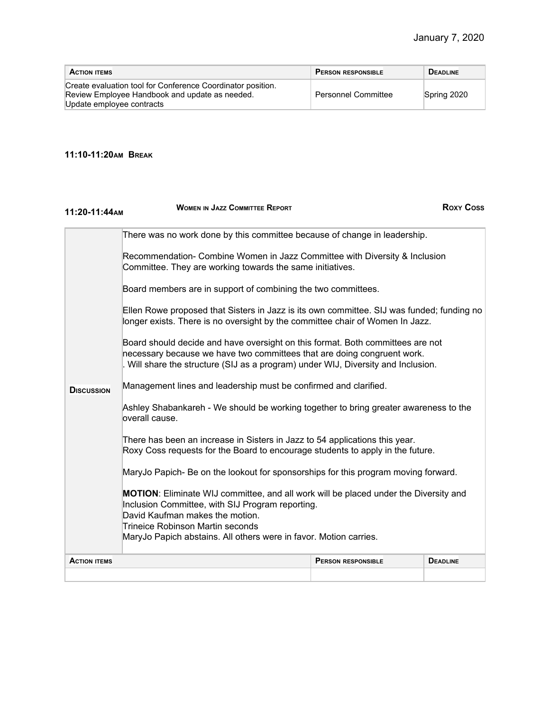| <b>ACTION ITEMS</b>                                                                                                                        | <b>PERSON RESPONSIBLE</b>  | <b>DEADLINE</b> |
|--------------------------------------------------------------------------------------------------------------------------------------------|----------------------------|-----------------|
| Create evaluation tool for Conference Coordinator position.<br>Review Employee Handbook and update as needed.<br>Update employee contracts | <b>Personnel Committee</b> | Spring 2020     |

# **11:10-11:20AM BREAK**

| 11:20-11:44AM       | <b>WOMEN IN JAZZ COMMITTEE REPORT</b>                                                                                                                                                                                                                                                |                           | <b>Roxy Coss</b> |
|---------------------|--------------------------------------------------------------------------------------------------------------------------------------------------------------------------------------------------------------------------------------------------------------------------------------|---------------------------|------------------|
|                     | There was no work done by this committee because of change in leadership.                                                                                                                                                                                                            |                           |                  |
|                     | Recommendation- Combine Women in Jazz Committee with Diversity & Inclusion<br>Committee. They are working towards the same initiatives.                                                                                                                                              |                           |                  |
|                     | Board members are in support of combining the two committees.                                                                                                                                                                                                                        |                           |                  |
|                     | Ellen Rowe proposed that Sisters in Jazz is its own committee. SIJ was funded; funding no<br>longer exists. There is no oversight by the committee chair of Women In Jazz.                                                                                                           |                           |                  |
|                     | Board should decide and have oversight on this format. Both committees are not<br>necessary because we have two committees that are doing congruent work.<br>. Will share the structure (SIJ as a program) under WIJ, Diversity and Inclusion.                                       |                           |                  |
| <b>DISCUSSION</b>   | Management lines and leadership must be confirmed and clarified.                                                                                                                                                                                                                     |                           |                  |
|                     | Ashley Shabankareh - We should be working together to bring greater awareness to the<br>overall cause.                                                                                                                                                                               |                           |                  |
|                     | There has been an increase in Sisters in Jazz to 54 applications this year.<br>Roxy Coss requests for the Board to encourage students to apply in the future.                                                                                                                        |                           |                  |
|                     | MaryJo Papich- Be on the lookout for sponsorships for this program moving forward.                                                                                                                                                                                                   |                           |                  |
|                     | MOTION: Eliminate WIJ committee, and all work will be placed under the Diversity and<br>Inclusion Committee, with SIJ Program reporting.<br>David Kaufman makes the motion.<br>Trineice Robinson Martin seconds<br>MaryJo Papich abstains. All others were in favor. Motion carries. |                           |                  |
| <b>ACTION ITEMS</b> |                                                                                                                                                                                                                                                                                      | <b>PERSON RESPONSIBLE</b> | <b>DEADLINE</b>  |
|                     |                                                                                                                                                                                                                                                                                      |                           |                  |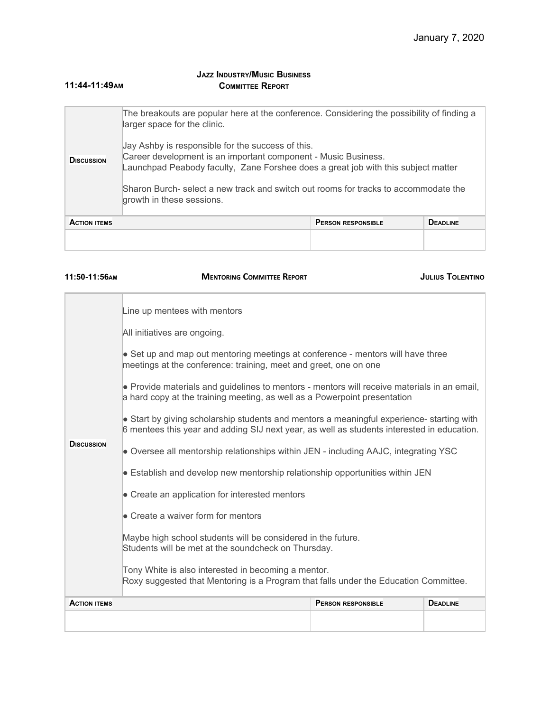#### **11:44-11:49AM JAZZ INDUSTRY/MUSIC BUSINESS COMMITTEE REPORT**

| <b>ACTION ITEMS</b> |                                                                                                                                                                                                                                                                                                                              | <b>PERSON RESPONSIBLE</b> | <b>DEADLINE</b> |
|---------------------|------------------------------------------------------------------------------------------------------------------------------------------------------------------------------------------------------------------------------------------------------------------------------------------------------------------------------|---------------------------|-----------------|
| <b>DISCUSSION</b>   | Jay Ashby is responsible for the success of this.<br>Career development is an important component - Music Business.<br>Launchpad Peabody faculty, Zane Forshee does a great job with this subject matter<br>Sharon Burch- select a new track and switch out rooms for tracks to accommodate the<br>growth in these sessions. |                           |                 |
|                     | The breakouts are popular here at the conference. Considering the possibility of finding a<br>larger space for the clinic.                                                                                                                                                                                                   |                           |                 |

### **11:50-11:56AM MENTORING COMMITTEE REPORT JULIUS TOLENTINO**

| <b>ACTION ITEMS</b> | <b>DEADLINE</b><br><b>PERSON RESPONSIBLE</b>                                                                                                                                            |  |  |  |
|---------------------|-----------------------------------------------------------------------------------------------------------------------------------------------------------------------------------------|--|--|--|
|                     | Tony White is also interested in becoming a mentor.<br>Roxy suggested that Mentoring is a Program that falls under the Education Committee.                                             |  |  |  |
|                     | Maybe high school students will be considered in the future.<br>Students will be met at the soundcheck on Thursday.                                                                     |  |  |  |
|                     | • Create a waiver form for mentors                                                                                                                                                      |  |  |  |
|                     | • Create an application for interested mentors                                                                                                                                          |  |  |  |
|                     | • Establish and develop new mentorship relationship opportunities within JEN                                                                                                            |  |  |  |
| <b>DISCUSSION</b>   | • Oversee all mentorship relationships within JEN - including AAJC, integrating YSC                                                                                                     |  |  |  |
|                     | • Start by giving scholarship students and mentors a meaningful experience- starting with<br>6 mentees this year and adding SIJ next year, as well as students interested in education. |  |  |  |
|                     | • Provide materials and guidelines to mentors - mentors will receive materials in an email,<br>a hard copy at the training meeting, as well as a Powerpoint presentation                |  |  |  |
|                     | • Set up and map out mentoring meetings at conference - mentors will have three<br>meetings at the conference: training, meet and greet, one on one                                     |  |  |  |
|                     | All initiatives are ongoing.                                                                                                                                                            |  |  |  |
|                     | Line up mentees with mentors                                                                                                                                                            |  |  |  |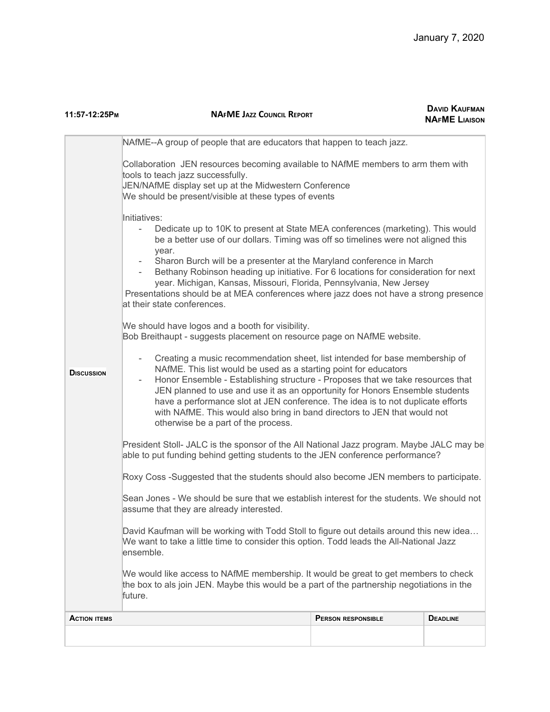| 11:57-12:25Рм                                                                                                                                                                                                                                                                                                                                                                                                                                                                                                                                 | <b>DAVID KAUFMAN</b><br><b>NAFME JAZZ COUNCIL REPORT</b><br><b>NAFME LIAISON</b>                                                                                                                                                                                                                                                                                                                                                                                                                                                                          |                    |                 |  |
|-----------------------------------------------------------------------------------------------------------------------------------------------------------------------------------------------------------------------------------------------------------------------------------------------------------------------------------------------------------------------------------------------------------------------------------------------------------------------------------------------------------------------------------------------|-----------------------------------------------------------------------------------------------------------------------------------------------------------------------------------------------------------------------------------------------------------------------------------------------------------------------------------------------------------------------------------------------------------------------------------------------------------------------------------------------------------------------------------------------------------|--------------------|-----------------|--|
|                                                                                                                                                                                                                                                                                                                                                                                                                                                                                                                                               | NAfME--A group of people that are educators that happen to teach jazz.                                                                                                                                                                                                                                                                                                                                                                                                                                                                                    |                    |                 |  |
|                                                                                                                                                                                                                                                                                                                                                                                                                                                                                                                                               | Collaboration JEN resources becoming available to NAfME members to arm them with<br>tools to teach jazz successfully.<br>JEN/NAfME display set up at the Midwestern Conference<br>We should be present/visible at these types of events                                                                                                                                                                                                                                                                                                                   |                    |                 |  |
|                                                                                                                                                                                                                                                                                                                                                                                                                                                                                                                                               | Initiatives:<br>Dedicate up to 10K to present at State MEA conferences (marketing). This would<br>be a better use of our dollars. Timing was off so timelines were not aligned this<br>year.<br>Sharon Burch will be a presenter at the Maryland conference in March<br>Bethany Robinson heading up initiative. For 6 locations for consideration for next<br>year. Michigan, Kansas, Missouri, Florida, Pennsylvania, New Jersey<br>Presentations should be at MEA conferences where jazz does not have a strong presence<br>at their state conferences. |                    |                 |  |
|                                                                                                                                                                                                                                                                                                                                                                                                                                                                                                                                               | We should have logos and a booth for visibility.<br>Bob Breithaupt - suggests placement on resource page on NAfME website.                                                                                                                                                                                                                                                                                                                                                                                                                                |                    |                 |  |
| Creating a music recommendation sheet, list intended for base membership of<br>NAfME. This list would be used as a starting point for educators<br><b>DISCUSSION</b><br>Honor Ensemble - Establishing structure - Proposes that we take resources that<br>JEN planned to use and use it as an opportunity for Honors Ensemble students<br>have a performance slot at JEN conference. The idea is to not duplicate efforts<br>with NAfME. This would also bring in band directors to JEN that would not<br>otherwise be a part of the process. |                                                                                                                                                                                                                                                                                                                                                                                                                                                                                                                                                           |                    |                 |  |
|                                                                                                                                                                                                                                                                                                                                                                                                                                                                                                                                               | President Stoll- JALC is the sponsor of the All National Jazz program. Maybe JALC may be<br>able to put funding behind getting students to the JEN conference performance?                                                                                                                                                                                                                                                                                                                                                                                |                    |                 |  |
|                                                                                                                                                                                                                                                                                                                                                                                                                                                                                                                                               | Roxy Coss -Suggested that the students should also become JEN members to participate.                                                                                                                                                                                                                                                                                                                                                                                                                                                                     |                    |                 |  |
|                                                                                                                                                                                                                                                                                                                                                                                                                                                                                                                                               | Sean Jones - We should be sure that we establish interest for the students. We should not<br>assume that they are already interested.                                                                                                                                                                                                                                                                                                                                                                                                                     |                    |                 |  |
|                                                                                                                                                                                                                                                                                                                                                                                                                                                                                                                                               | David Kaufman will be working with Todd Stoll to figure out details around this new idea<br>We want to take a little time to consider this option. Todd leads the All-National Jazz<br>ensemble.                                                                                                                                                                                                                                                                                                                                                          |                    |                 |  |
|                                                                                                                                                                                                                                                                                                                                                                                                                                                                                                                                               | We would like access to NAfME membership. It would be great to get members to check<br>the box to als join JEN. Maybe this would be a part of the partnership negotiations in the<br>future.                                                                                                                                                                                                                                                                                                                                                              |                    |                 |  |
| <b>ACTION ITEMS</b>                                                                                                                                                                                                                                                                                                                                                                                                                                                                                                                           |                                                                                                                                                                                                                                                                                                                                                                                                                                                                                                                                                           | PERSON RESPONSIBLE | <b>DEADLINE</b> |  |
|                                                                                                                                                                                                                                                                                                                                                                                                                                                                                                                                               |                                                                                                                                                                                                                                                                                                                                                                                                                                                                                                                                                           |                    |                 |  |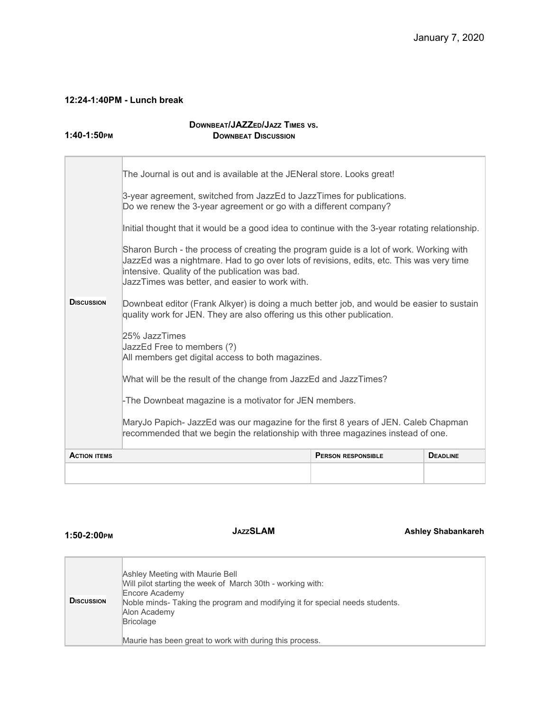# **12:24-1:40PM - Lunch break**

**1:40-1:50PM**

# **DOWNBEAT/JAZZED/JAZZ TIMES VS. DOWNBEAT DISCUSSION**

|                     | The Journal is out and is available at the JENeral store. Looks great!                                                                                                                                                                                                                  |                           |                 |  |
|---------------------|-----------------------------------------------------------------------------------------------------------------------------------------------------------------------------------------------------------------------------------------------------------------------------------------|---------------------------|-----------------|--|
|                     | 3-year agreement, switched from JazzEd to JazzTimes for publications.<br>Do we renew the 3-year agreement or go with a different company?                                                                                                                                               |                           |                 |  |
|                     | Initial thought that it would be a good idea to continue with the 3-year rotating relationship.                                                                                                                                                                                         |                           |                 |  |
|                     | Sharon Burch - the process of creating the program guide is a lot of work. Working with<br>JazzEd was a nightmare. Had to go over lots of revisions, edits, etc. This was very time<br>intensive. Quality of the publication was bad.<br>JazzTimes was better, and easier to work with. |                           |                 |  |
| <b>DISCUSSION</b>   | Downbeat editor (Frank Alkyer) is doing a much better job, and would be easier to sustain<br>quality work for JEN. They are also offering us this other publication.                                                                                                                    |                           |                 |  |
|                     | 25% JazzTimes<br>JazzEd Free to members (?)<br>All members get digital access to both magazines.                                                                                                                                                                                        |                           |                 |  |
|                     | What will be the result of the change from JazzEd and JazzTimes?                                                                                                                                                                                                                        |                           |                 |  |
|                     | -The Downbeat magazine is a motivator for JEN members.                                                                                                                                                                                                                                  |                           |                 |  |
|                     | MaryJo Papich- JazzEd was our magazine for the first 8 years of JEN. Caleb Chapman<br>recommended that we begin the relationship with three magazines instead of one.                                                                                                                   |                           |                 |  |
| <b>ACTION ITEMS</b> |                                                                                                                                                                                                                                                                                         | <b>PERSON RESPONSIBLE</b> | <b>DEADLINE</b> |  |
|                     |                                                                                                                                                                                                                                                                                         |                           |                 |  |

# **1:50-2:00PM**

**JAZZSLAM Ashley Shabankareh**

| <b>DISCUSSION</b> | Ashley Meeting with Maurie Bell<br>Will pilot starting the week of March 30th - working with:<br>Encore Academy<br>Noble minds- Taking the program and modifying it for special needs students.<br>Alon Academy<br>Bricolage |
|-------------------|------------------------------------------------------------------------------------------------------------------------------------------------------------------------------------------------------------------------------|
|                   | Maurie has been great to work with during this process.                                                                                                                                                                      |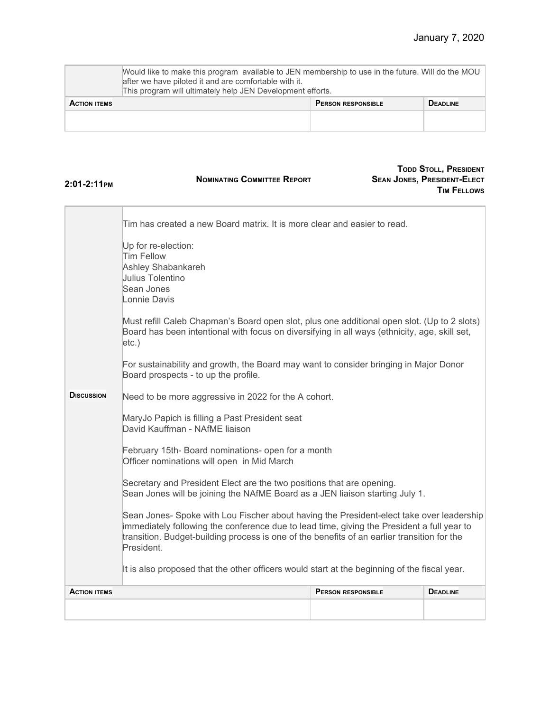|                     | Mould like to make this program available to JEN membership to use in the future. Will do the MOU<br>after we have piloted it and are comfortable with it.<br>This program will ultimately help JEN Development efforts. |  |  |  |
|---------------------|--------------------------------------------------------------------------------------------------------------------------------------------------------------------------------------------------------------------------|--|--|--|
| <b>ACTION ITEMS</b> | <b>DEADLINE</b><br><b>PERSON RESPONSIBLE</b>                                                                                                                                                                             |  |  |  |
|                     |                                                                                                                                                                                                                          |  |  |  |
|                     |                                                                                                                                                                                                                          |  |  |  |

| 2:01-2:11PM         | <b>NOMINATING COMMITTEE REPORT</b>                                                                                                                                                                                                                                                                                                                                                                                                                                                                                                                                                                                                                                                                                                                                                                                                                                                                                                                                                                                                                                                                                                                                                                                                                        |                           | <b>TODD STOLL, PRESIDENT</b><br><b>SEAN JONES, PRESIDENT-ELECT</b><br><b>TIM FELLOWS</b> |
|---------------------|-----------------------------------------------------------------------------------------------------------------------------------------------------------------------------------------------------------------------------------------------------------------------------------------------------------------------------------------------------------------------------------------------------------------------------------------------------------------------------------------------------------------------------------------------------------------------------------------------------------------------------------------------------------------------------------------------------------------------------------------------------------------------------------------------------------------------------------------------------------------------------------------------------------------------------------------------------------------------------------------------------------------------------------------------------------------------------------------------------------------------------------------------------------------------------------------------------------------------------------------------------------|---------------------------|------------------------------------------------------------------------------------------|
| <b>DISCUSSION</b>   | Tim has created a new Board matrix. It is more clear and easier to read.<br>Up for re-election:<br><b>Tim Fellow</b><br>Ashley Shabankareh<br>Julius Tolentino<br>Sean Jones<br>Lonnie Davis<br>Must refill Caleb Chapman's Board open slot, plus one additional open slot. (Up to 2 slots)<br>Board has been intentional with focus on diversifying in all ways (ethnicity, age, skill set,<br>$etc.$ )<br>For sustainability and growth, the Board may want to consider bringing in Major Donor<br>Board prospects - to up the profile.<br>Need to be more aggressive in 2022 for the A cohort.<br>MaryJo Papich is filling a Past President seat<br>David Kauffman - NAfME liaison<br>February 15th- Board nominations- open for a month<br>Officer nominations will open in Mid March<br>Secretary and President Elect are the two positions that are opening.<br>Sean Jones will be joining the NAfME Board as a JEN liaison starting July 1.<br>Sean Jones- Spoke with Lou Fischer about having the President-elect take over leadership<br>immediately following the conference due to lead time, giving the President a full year to<br>transition. Budget-building process is one of the benefits of an earlier transition for the<br>President. |                           |                                                                                          |
|                     | It is also proposed that the other officers would start at the beginning of the fiscal year.                                                                                                                                                                                                                                                                                                                                                                                                                                                                                                                                                                                                                                                                                                                                                                                                                                                                                                                                                                                                                                                                                                                                                              |                           |                                                                                          |
| <b>ACTION ITEMS</b> |                                                                                                                                                                                                                                                                                                                                                                                                                                                                                                                                                                                                                                                                                                                                                                                                                                                                                                                                                                                                                                                                                                                                                                                                                                                           | <b>PERSON RESPONSIBLE</b> | <b>DEADLINE</b>                                                                          |